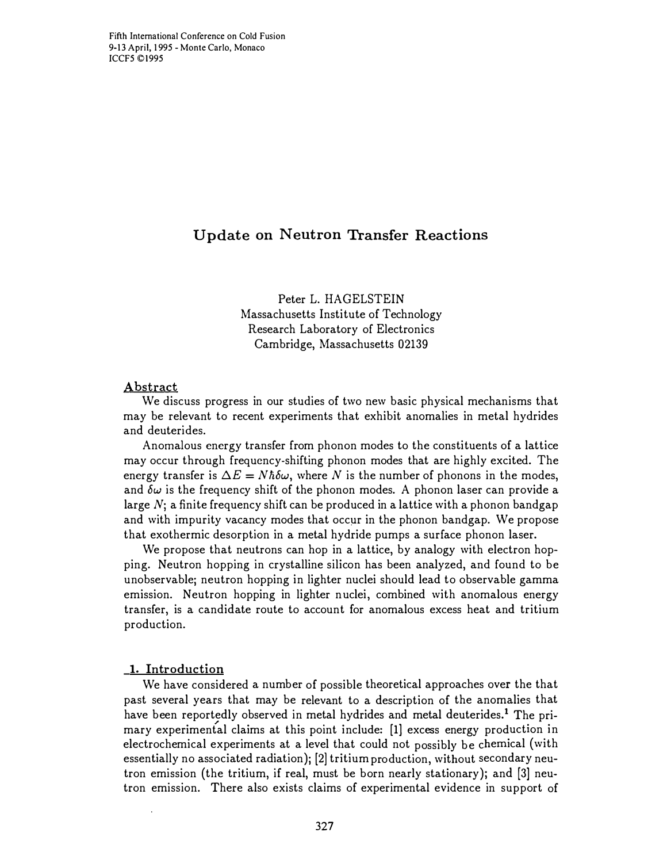# Update on Neutron Transfer Reactions

Peter L. HAGELSTEIN Massachusetts Institute of Technology Research Laboratory of Electronics Cambridge, Massachusetts 02139

### Abstract

We discuss progress in our studies of two new basic physical mechanisms that may be relevant to recent experiments that exhibit anomalies in metal hydrides and deuterides.

Anomalous energy transfer from phonon modes to the constituents of a lattice may occur through frequency-shifting phonon modes that are highly excited. The energy transfer is  $\Delta E = N\hbar\delta\omega$ , where N is the number of phonons in the modes, and  $\delta\omega$  is the frequency shift of the phonon modes. A phonon laser can provide a large  $N$ ; a finite frequency shift can be produced in a lattice with a phonon bandgap and with impurity vacancy modes that occur in the phonon bandgap. We propose that exothermic desorption in a metal hydride pumps a surface phonon laser.

We propose that neutrons can hop in a lattice, by analogy with electron hopping. Neutron hopping in crystalline silicon has been analyzed, and found to be unobservable; neutron hopping in lighter nuclei should lead to observable gamma emission. Neutron hopping in lighter nuclei, combined with anomalous energy transfer, is a candidate route to account for anomalous excess heat and tritium production.

### 1. Introduction

We have considered a number of possible theoretical approaches over the that past several years that may be relevant to a description of the anomalies that have been reportedly observed in metal hydrides and metal deuterides.<sup>1</sup> The pri-<br>mary experimental claims at this point include: [1] excess energy production in electrochemical experiments at a level that could not possibly be chemical (with essentially no associated radiation); [2] tritium production, without secondary neutron emission (the tritium, if real, must be born nearly stationary); and  $[3]$  neutron emission. There also exists claims of experimental evidence in support of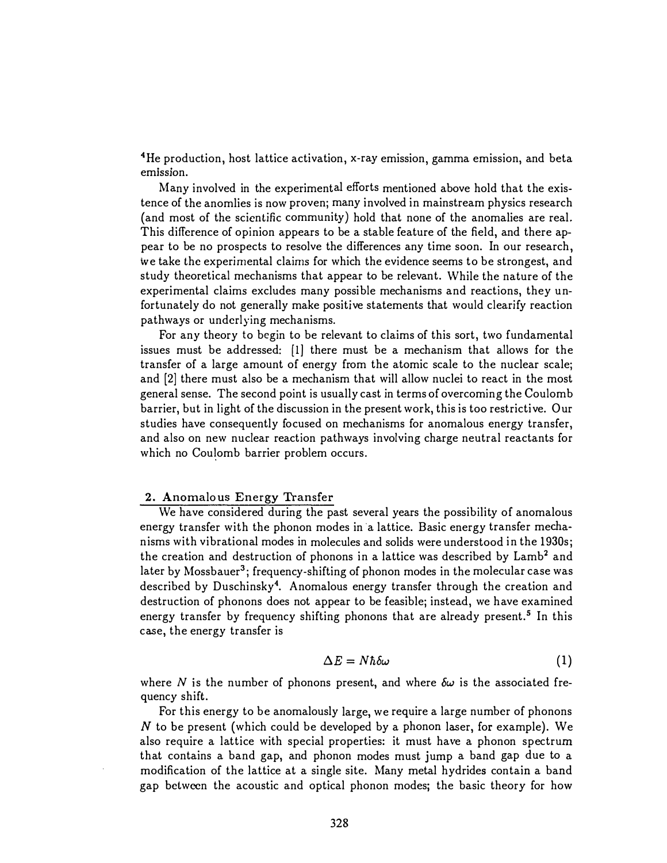$^4$ He production, host lattice activation, x-ray emission, gamma emission, and beta emission.

Many involved in the experimental efforts mentioned above hold that the existence of the anomlies is now proven; many involved in mainstream physics research (and most of the scientific community) hold that none of the anomalies are real. This difference of opinion appears to be a stable feature of the field, and there appear to be no prospects to resolve the differences any time soon. In our research, we take the experimental claims for which the evidence seems to be strongest, and study theoretical mechanisms that appear to be relevant. While the nature of the experimental claims excludes many possible mechanisms and reactions, they unfortunately do not generally make positive statements that would clearify reaction pathways or underlying mechanisms.

For any theory to begin to be relevant to claims of this sort, two fundamental issues must be addressed:  $[1]$  there must be a mechanism that allows for the transfer of a large amount of energy from the atomic scale to the nuclear scale; and [2] there must also be a mechanism that will allow nuclei to react in the most general sense. The second point is usually cast in terms of overcoming the Coulomb barrier, but in light of the discussion in the present work, this is too restrictive. Our studies have consequently focused on mechanisms for anomalous energy transfer, and also on new nuclear reaction pathways involving charge neutral reactants for which no Coulomb barrier problem occurs.

### 2. Anomalous Energy Transfer

We have considered during the past several years the possibility of anomalous energy transfer with the phonon modes in a lattice. Basic energy transfer mechanisms with vibrational modes in molecules and solids were understood in the 1930s; the creation and destruction of phonons in a lattice was described by Lamb<sup>2</sup> and later by Mossbauer<sup>3</sup>; frequency-shifting of phonon modes in the molecular case was described by Duschinsky<sup>4</sup>. Anomalous energy transfer through the creation and destruction of phonons does not appear to be feasible; instead, we have examined energy transfer by frequency shifting phonons that are already present.<sup>5</sup> In this case, the energy transfer is

$$
\Delta E = N \hbar \delta \omega \tag{1}
$$

where  $N$  is the number of phonons present, and where  $\delta \omega$  is the associated frequency shift.

For this energy to be anomalously large, we require a large number of phonons  $N$  to be present (which could be developed by a phonon laser, for example). We also require a lattice with special properties: it must have a phonon spectrum that contains a band gap, and phonon modes must jump a band gap due to a modification of the lattice at a single site. Many metal hydrides contain a band gap between the acoustic and optical phonon modes; the basic theory for how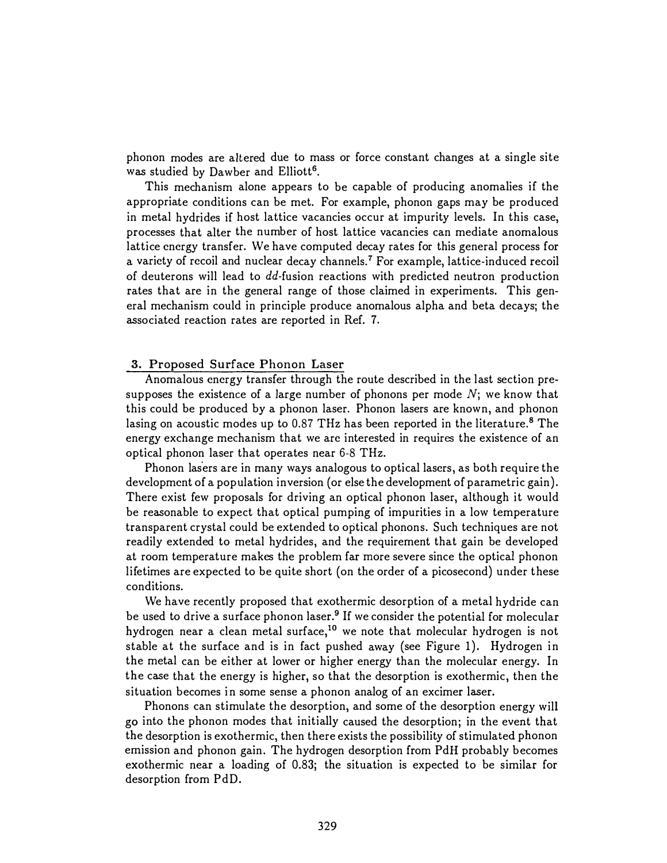phonon modes are altered due to mass or force constant changes at a single site was studied by Dawber and Elliott<sup>6</sup>.

This mechanism alone appears to be capable of producing anomalies if the appropriate conditions can be met. For example, phonon gaps may be produced in metal hydrides if host lattice vacancies occur at impurity levels. In this case, processes that alter the number of host lattice vacancies can mediate anomalous lattice energy transfer. We have computed decay rates for this general process for a variety of recoil and nuclear decay channels.<sup>7</sup> For example, lattice-induced recoil of deuterons will lead to dd-fusion reactions with predicted neutron production rates that are in the general range of those claimed in experiments. This general mechanism could in principle produce anomalous alpha and beta decays; the associated reaction rates are reported in Ref. 7.

### 3. Proposed Surface Phonon Laser

Anomalous energy transfer through the route described in the last section presupposes the existence of a large number of phonons per mode  $N$ ; we know that this could be produced by a phonon laser. Phonon lasers are known, and phonon lasing on acoustic modes up to 0.87 THz has been reported in the literature.<sup>8</sup> The energy exchange mechanism that we are interested in requires the existence of an optical phonon laser that operates near 6-8 THz.

Phonon lasers are in many ways analogous to optical lasers, as both require the development of a population inversion (or else the development of parametric gain). There exist few proposals for driving an optical phonon laser, although it would be reasonable to expect that optical pumping of impurities in a low temperature transparent crystal could be extended to optical phonons. Such techniques are not readily extended to metal hydrides, and the requirement that gain be developed at room temperature makes the problem far more severe since the optical phonon lifetimes are expected to be quite short (on the order of a picosecond) under these conditions.

We have recently proposed that exothermic desorption of a metal hydride can be used to drive a surface phonon laser.<sup>9</sup> If we consider the potential for molecular hydrogen near a clean metal surface,<sup>10</sup> we note that molecular hydrogen is not stable at the surface and is in fact pushed away (see Figure 1). Hydrogen in the metal can be either at lower or higher energy than the molecular energy. In the case that the energy is higher, so that the desorption is exothermic, then the situation becomes in some sense a phonon analog of an excimer laser.

Phonons can stimulate the desorption, and some of the desorption energy will go into the phonon modes that initially caused the desorption; in the event that the desorption is exothermic, then there exists the possibility of stimulated phonon emission and phonon gain. The hydrogen desorption from PdH probably becomes exothermic near a loading of 0.83; the situation is expected to be similar for desorption from PdD.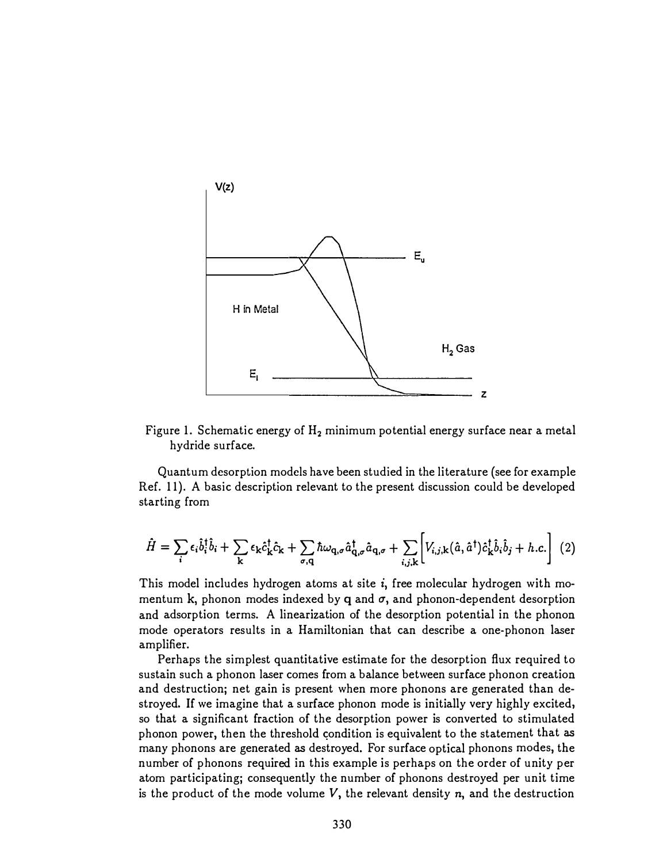

Figure 1. Schematic energy of  $H_2$  minimum potential energy surface near a metal hydride surface.

Quantum desorption models have been studied in the literature (see for example Ref. 11). A basic description relevant to the present discussion could be developed starting from

$$
\hat{H} = \sum_{i} \epsilon_{i} \hat{b}_{i}^{\dagger} \hat{b}_{i} + \sum_{k} \epsilon_{k} \hat{c}_{k}^{\dagger} \hat{c}_{k} + \sum_{\sigma, q} \hbar \omega_{q, \sigma} \hat{a}_{q, \sigma}^{\dagger} \hat{a}_{q, \sigma} + \sum_{i, j, k} \left[ V_{i, j, k}(\hat{a}, \hat{a}^{\dagger}) \hat{c}_{k}^{\dagger} \hat{b}_{i} \hat{b}_{j} + h.c. \right] (2)
$$

This model includes hydrogen atoms at site  $i,$  free molecular hydrogen with momentum  ${\bf k},$  phonon modes indexed by  ${\bf q}$  and  $\sigma,$  and phonon-dependent desorption and adsorption terms. A linearization of the desorption potential in the phonon mode operators results in a Hamiltonian that can describe a one-phonon laser amplifier.

Perhaps the simplest quantitative estimate for the desorption flux required to sustain such a phonon laser comes from a balance between surface phonon creation and destruction; net gain is present when more phonons are generated than destroyed. If we imagine that a surface phonon mode is initially very highly excited, so that a significant fraction of the desorption power is converted to stimulated phonon power, then the threshold condition is equivalent to the statement that as many phonons are generated as destroyed. For surface optical phonons modes, the number of phonons required in this example is perhaps on the order of unity per atom participating; consequently the number of phonons destroyed per unit time is the product of the mode volume  $V,$  the relevant density  $\pmb{n},$  and the destruction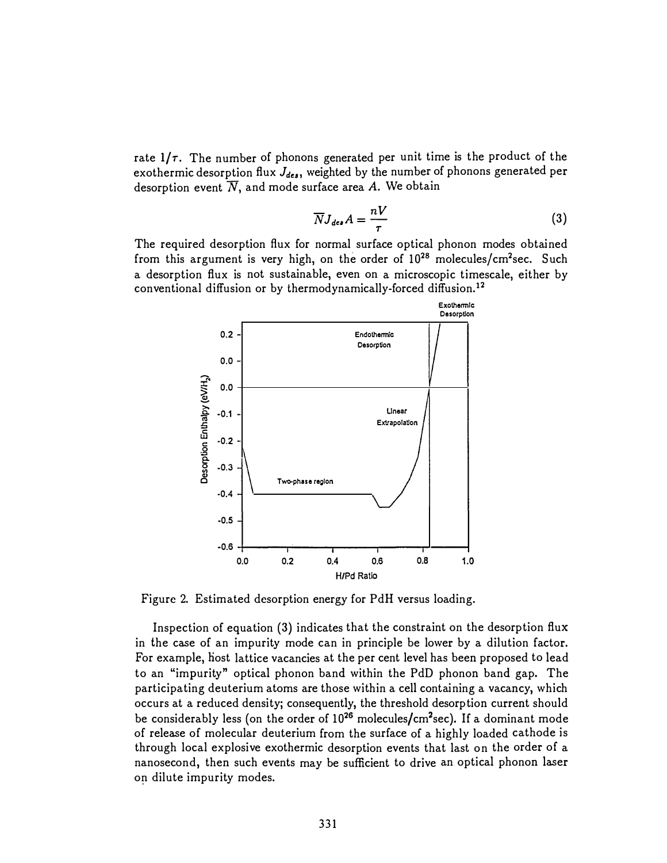rate  $1/\tau$ . The number of phonons generated per unit time is the product of the exothermic desorption flux  $J_{des}$ , weighted by the number of phonons generated per desorption event  $\overline{N},$  and mode surface area A. We obtain

$$
\overline{N}J_{des}A = \frac{nV}{\tau} \tag{3}
$$

The required desorption flux for normal surface optical phonon modes obtained from this argument is very high, on the order of  $10^{28}$  molecules/cm<sup>2</sup>sec. Such a desorption flux is not sustainable, even on a microscopic timescale, either by conventional diffusion or by thermodynamically-forced diffusion.<sup>12</sup>



Figure 2. Estimated desorption energy for PdH versus loading.

Inspection of equation (3) indicates that the constraint on the desorption flux in the case of an impurity mode can in principle be lower by a dilution factor. For example, host lattice vacancies at the per cent level has been proposed to lead to an "impurity" optical phonon band within the PdD phonon band gap. The participating deuterium atoms are those within a cell containing a vacancy, which occurs at a reduced density; consequently, the threshold desorption current should be considerably less (on the order of 10<sup>26</sup> molecules/cm<sup>2</sup>sec). If a dominant mode of release of molecular deuterium from the surface of a highly loaded cathode is through local explosive exothermic desorption events that last on the order of a nanosecond, then such events may be sufficient to drive an optical phonon laser on dilute impurity modes.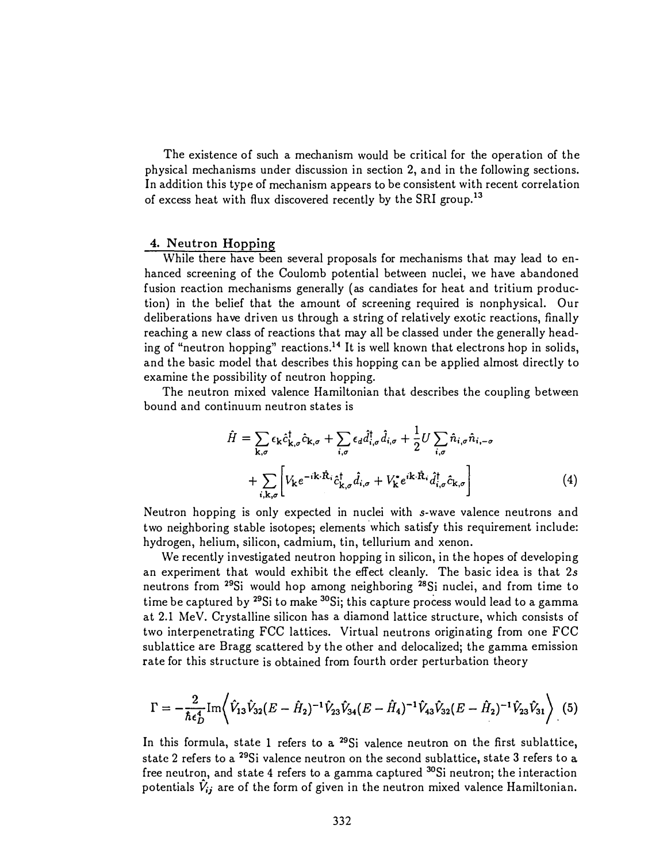The existence of such a mechanism would be critical for the operation of the physical mechanisms under discussion in section 2, and in the following sections. In addition this type of mechanism appears to be consistent with recent correlation of excess heat with flux discovered recently by the SRI group.<sup>13</sup>

## 4. Neutron Hopping

While there have been several proposals for mechanisms that may lead to enhanced screening of the Coulomb potential between nuclei, we have abandoned fusion reaction mechanisms generally (as candiates for heat and tritium production) in the belief that the amount of screening required is nonphysical. Our deliberations have driven us through a string of relatively exotic reactions, finally reaching a new class of reactions that may all be classed under the generally heading of "neutron hopping" reactions.<sup>14</sup> It is well known that electrons hop in solids, and the basic model that describes this hopping can be applied almost directly to examine the possibility of neutron hopping.

The neutron mixed valence Hamiltonian that describes the coupling between bound and continuum neutron states is

$$
\hat{H} = \sum_{\mathbf{k},\sigma} \epsilon_{\mathbf{k}} \hat{c}_{\mathbf{k},\sigma}^{\dagger} \hat{c}_{\mathbf{k},\sigma} + \sum_{i,\sigma} \epsilon_{d} \hat{d}_{i,\sigma}^{\dagger} \hat{d}_{i,\sigma} + \frac{1}{2} U \sum_{i,\sigma} \hat{n}_{i,\sigma} \hat{n}_{i,-\sigma} \n+ \sum_{i,\mathbf{k},\sigma} \left[ V_{\mathbf{k}} e^{-i\mathbf{k}\cdot\hat{\mathbf{R}}_{i}} \hat{c}_{\mathbf{k},\sigma}^{\dagger} \hat{d}_{i,\sigma} + V_{\mathbf{k}}^* e^{i\mathbf{k}\cdot\hat{\mathbf{R}}_{i}} \hat{d}_{i,\sigma}^{\dagger} \hat{c}_{\mathbf{k},\sigma} \right]
$$
\n(4)

Neutron hopping is only expected in nuclei with *s*-wave valence neutrons and two neighboring stable isotopes; elements which satisfy this requirement include: hydrogen, helium, silicon, cadmium, tin, tellurium and xenon.

We recently investigated neutron hopping in silicon, in the hopes of developing an experiment that would exhibit the effect cleanly. The basic idea is that  $2s$ neutrons from <sup>29</sup>Si would hop among neighboring <sup>28</sup>Si nuclei, and from time to time be captured by <sup>29</sup>Si to make <sup>30</sup>Si; this capture process would lead to a gamma at 2.1 MeV. Crystalline silicon has a diamond lattice structure, which consists of two interpenetrating FCC lattices. Virtual neutrons originating from one FCC  $\,$ sublattice are Bragg scattered by the other and delocalized; the gamma emission rate for this structure is obtained from fourth order perturbation theory

$$
\Gamma = -\frac{2}{\hbar \epsilon_D^4} \text{Im} \Big\langle \hat{V}_{13} \hat{V}_{32} (E - \hat{H}_2)^{-1} \hat{V}_{23} \hat{V}_{34} (E - \hat{H}_4)^{-1} \hat{V}_{43} \hat{V}_{32} (E - \hat{H}_2)^{-1} \hat{V}_{23} \hat{V}_{31} \Big\rangle \tag{5}
$$

In this formula, state 1 refers to a <sup>29</sup>Si valence neutron on the first sublattice, state 2 refers to a <sup>29</sup>Si valence neutron on the second sublattice, state 3 refers to a free neutron, and state 4 refers to a gamma captured <sup>30</sup>Si neutron; the interaction potentials  $\hat{V}_{ij}$  are of the form of given in the neutron mixed valence Hamiltonian.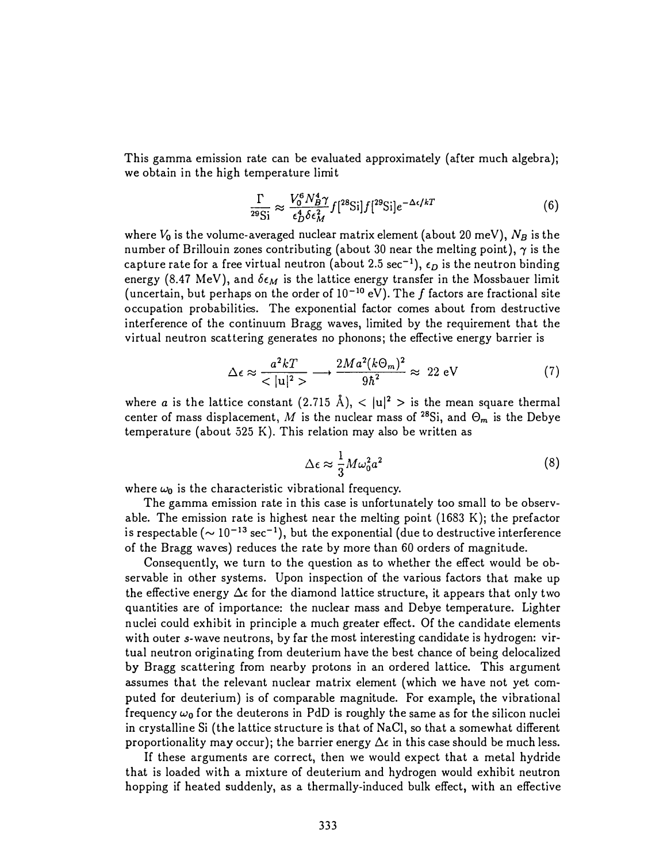This gamma emission rate can be evaluated approximately (after much algebra); we obtain in the high temperature limit

$$
\frac{\Gamma}{^{29}\text{Si}} \approx \frac{V_0^6 N_B^4 \gamma}{\epsilon_D^4 \delta \epsilon_M^2} f[^{28}\text{Si}] f[^{29}\text{Si}] e^{-\Delta \epsilon / kT} \tag{6}
$$

where  $V_{\bm{0}}$  is the volume-averaged nuclear matrix element (about 20 meV),  $N_B$  is the number of Brillouin zones contributing (about 30 near the melting point),  $\gamma$  is the capture rate for a free virtual neutron (about 2.5 sec $^{-1}$ ),  $\epsilon_D$  is the neutron binding energy (8.47 MeV), and  $\delta \epsilon_M$  is the lattice energy transfer in the Mossbauer limit (uncertain, but perhaps on the order of  $10^{-10}$  eV). The  $f$  factors are fractional site occupation probabilities. The exponential factor comes about from destructive interference of the continuum Bragg waves, limited by the requirement that the virtual neutron scattering generates no phonons; the effective energy barrier is

$$
\Delta \epsilon \approx \frac{a^2 kT}{\langle |u|^2 \rangle} \longrightarrow \frac{2Ma^2(k\Theta_m)^2}{9\hbar^2} \approx 22 \text{ eV}
$$
 (7)

where *a* is the lattice constant  $(2.715 \text{ Å})$ ,  $\langle |u|^2 \rangle$  is the mean square thermal center of mass displacement,  $M$  is the nuclear mass of  $^{28}{\rm Si,}$  and  $\Theta_m$  is the Debye temperature (about 525 K). This relation may also be written as

$$
\Delta \epsilon \approx \frac{1}{3} M \omega_0^2 a^2 \tag{8}
$$

where  $\omega_0$  is the characteristic vibrational frequency.

The gamma emission rate in this case is unfortunately too small to be observable. The emission rate is highest near the melting point (1683 K); the prefactor is respectable ( $\sim 10^{-13}$  sec $^{-1}$ ), but the exponential (due to destructive interference of the Bragg waves) reduces the rate by more than 60 orders of magnitude.

Consequently, we turn to the question as to whether the effect would be observable in other systems. Upon inspection of the various factors that make up the effective energy  $\Delta \epsilon$  for the diamond lattice structure, it appears that only two quantities are of importance: the nuclear mass and Debye temperature. Lighter nuclei could exhibit in principle a much greater effect. Of the candidate elements with outer  $s$ -wave neutrons, by far the most interesting candidate is hydrogen: virtual neutron originating from deuterium have the best chance of being delocalized by Bragg scattering from nearby protons in an ordered lattice. This argument assumes that the relevant nuclear matrix element (which we have not yet computed for deuterium) is of comparable magnitude. For example, the vibrational frequency  $\omega_{\textbf{0}}$  for the deuterons in PdD is roughly the same as for the silicon nuclei in crystalline Si (the lattice structure is that of NaCl, so that a somewhat different  $\;$ proportionality may occur); the barrier energy  $\Delta \epsilon$  in this case should be much less.

If these arguments are correct, then we would expect that a metal hydride that is loaded with a mixture of deuterium and hydrogen would exhibit neutron hopping if heated suddenly, as a thermally-induced bulk effect, with an effective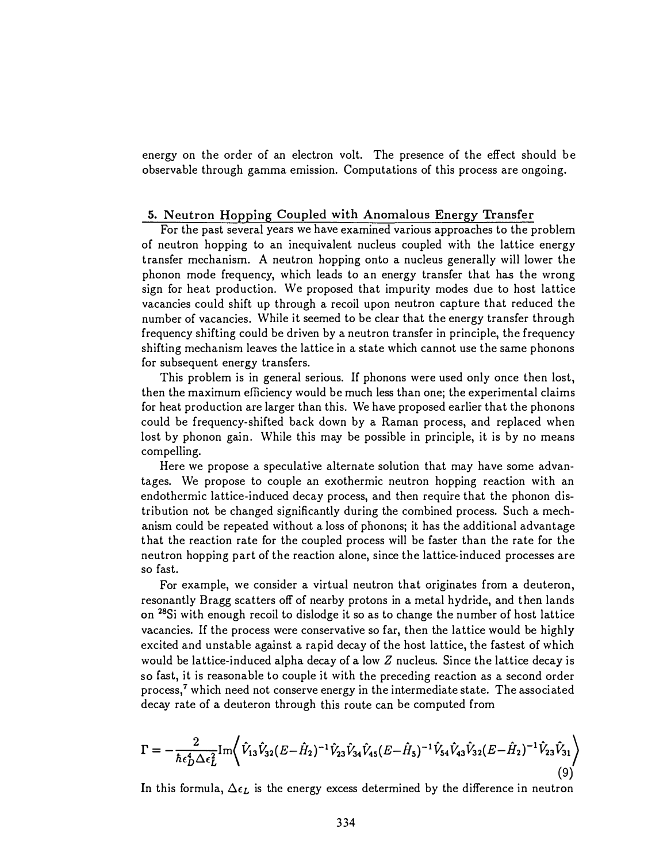energy on the order of an electron volt. The presence of the effect should be observable through gamma emission. Computations of this process are ongoing.

#### 5. Neutron Hopping Coupled with Anomalous Energy Transfer

For the past several years we have examined various approaches to the problem of neutron hopping to an inequivalent nucleus coupled with the lattice energy transfer mechanism. A neutron hopping onto a nucleus generally will lower the phonon mode frequency, which leads to an energy transfer that has the wrong sign for heat production. We proposed that impurity modes due to host lattice vacancies could shift up through a recoil upon neutron capture that reduced the number of vacancies. While it seemed to be clear that the energy transfer through frequency shifting could be driven by a neutron transfer in principle, the frequency shifting mechanism leaves the lattice in a state which cannot use the same phonons for subsequent energy transfers.

This problem is in general serious. If phonons were used only once then lost, then the maximum efficiency would be much less than one; the experimental claims for heat production are larger than this. We have proposed earlier that the phonons could be frequency-shifted back down by a Raman process, and replaced when lost by phonon gain. While this may be possible in principle, it is by no means compelling.

Here we propose a speculative alternate solution that may have some advantages. We propose to couple an exothermic neutron hopping reaction with an endothermic lattice-induced decay process, and then require that the phonon distribution not be changed significantly during the combined process. Such a mechanism could be repeated without a loss of phonons; it has the additional advantage that the reaction rate for the coupled process will be faster than the rate for the neutron hopping part of the reaction alone, since the lattice-induced processes are so fast.

For example, we consider a virtual neutron that originates from a deuteron, resonantly Bragg scatters off of nearby protons in a metal hydride, and then lands on <sup>28</sup>Si with enough recoil to dislodge it so as to change the number of host lattice vacancies. If the process were conservative so far, then the lattice would be highly excited and unstable against a rapid decay of the host lattice, the fastest of which would be lattice-induced alpha decay of a low  $Z$  nucleus. Since the lattice decay is so fast, it is reasonable to couple it with the preceding reaction as a second order process,<sup>7</sup> which need not conserve energy in the intermediate state. The associated decay rate of a deuteron through this route can be computed from

$$
\Gamma = -\frac{2}{\hbar \epsilon_D^4 \Delta \epsilon_L^2} \text{Im} \Bigg\langle \hat{V}_{13} \hat{V}_{32} (E - \hat{H}_2)^{-1} \hat{V}_{23} \hat{V}_{34} \hat{V}_{45} (E - \hat{H}_5)^{-1} \hat{V}_{54} \hat{V}_{43} \hat{V}_{32} (E - \hat{H}_2)^{-1} \hat{V}_{23} \hat{V}_{31} \Bigg\rangle \tag{9}
$$

 $In this for$ rmula,  $\Delta \epsilon_L$  is the energy excess  $\mathrm{d}% \left\{ \mathcal{L}_{\mathbf{\hat{z}}},\mathcal{L}_{\mathbf{\hat{z}}} \right\}$ etermined by the difference in neutron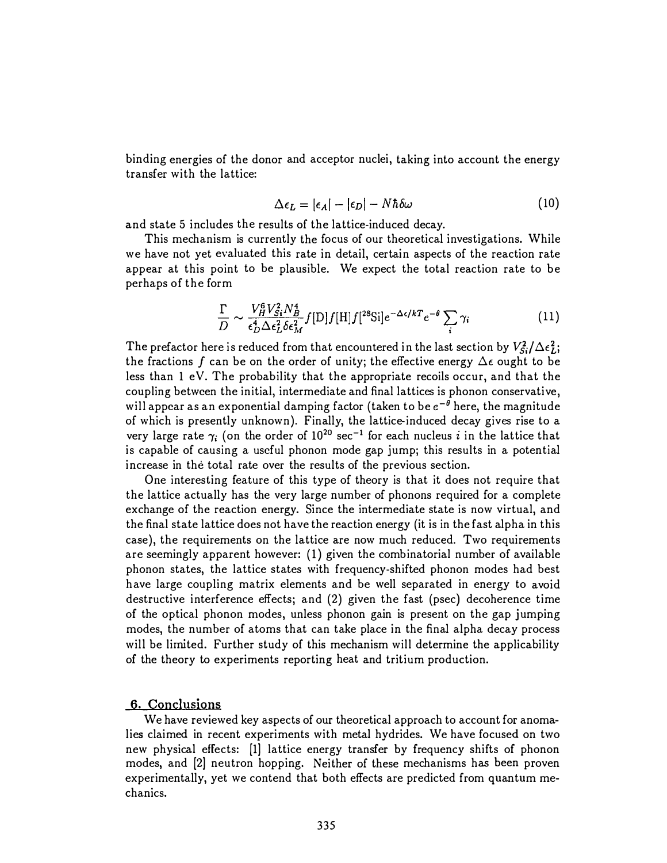binding energies of the donor and acceptor nuclei, taking into account the energy transfer with the lattice:

$$
\Delta \epsilon_L = |\epsilon_A| - |\epsilon_D| - N\hbar \delta \omega \tag{10}
$$

and state 5 includes the results of the lattice-induced decay.

This mechanism is currently the focus of our theoretical investigations. While we have not yet evaluated this rate in detail, certain aspects of the reaction rate appear at this point to be plausible. We expect the total reaction rate to be perhaps of the form

$$
\frac{\Gamma}{D} \sim \frac{V_H^6 V_{Si}^2 N_B^4}{\epsilon_D^4 \Delta \epsilon_L^2 \delta \epsilon_M^2} f[D] f[H] f[^{28} \text{Si}] e^{-\Delta \epsilon / kT} e^{-\theta} \sum_i \gamma_i \tag{11}
$$

The prefactor here is reduced from that encountered in the last section by  $V_{Si}^2/\Delta\epsilon_L^2;$ the fractions  $f$  can be on the order of unity; the effective energy  $\Delta \epsilon$  ought to be less than 1 eV. The probability that the appropriate recoils occur, and that the coupling betwcen the initial, intermediate and final lattices is phonon conservative, will appear as an exponential damping factor (taken to be  $e^{-\theta}$  here, the magnitude of which is presently unknown). Finally, the lattice-induced decay gives rise to a very large rate  $\gamma_i$  (on the order of  $10^{20}$  sec<sup>-1</sup> for each nucleus *i* in the lattice that is capable of causing a useful phonon mode gap jump; this results in a potential increase in the total rate over the results of the previous section.

One interesting feature of this type of theory is that it does not require that the lattice actually has the very large number of phonons required for a complete exchange of the reaction energy. Since the intermediate state is now virtual, and the final state lattice does not have the reaction energy (it is in the fast alpha in this case), the requirements on the lattice are now much reduced. Two requirements are seemingly apparent however: (1) given the combinatorial number of available phonon states, the lattice states with frequency-shifted phonon modes had best have large coupling matrix elements and be well separated in energy to avoid destructive interference effects; and (2) given the fast (psec) decoherence time of the optical phonon modes, unless phonon gain is present on the gap jumping modes, the number of atoms that can take place in the final alpha decay process will be limited. Further study of this mechanism will determine the applicability of the theory to experiments reporting heat and tritium production.

### 6. Conclusions

We have reviewed key aspects of our theoretical approach to account for anomalies claimed in recent experiments with metal hydrides. We have focused on two new physical effects: [1] lattice energy transfer by frequency shifts of phonon modes, and [2] neutron hopping. Neither of these mechanisms has been proven experimentally, yet we contend that both effects are predicted from quantum mechanics.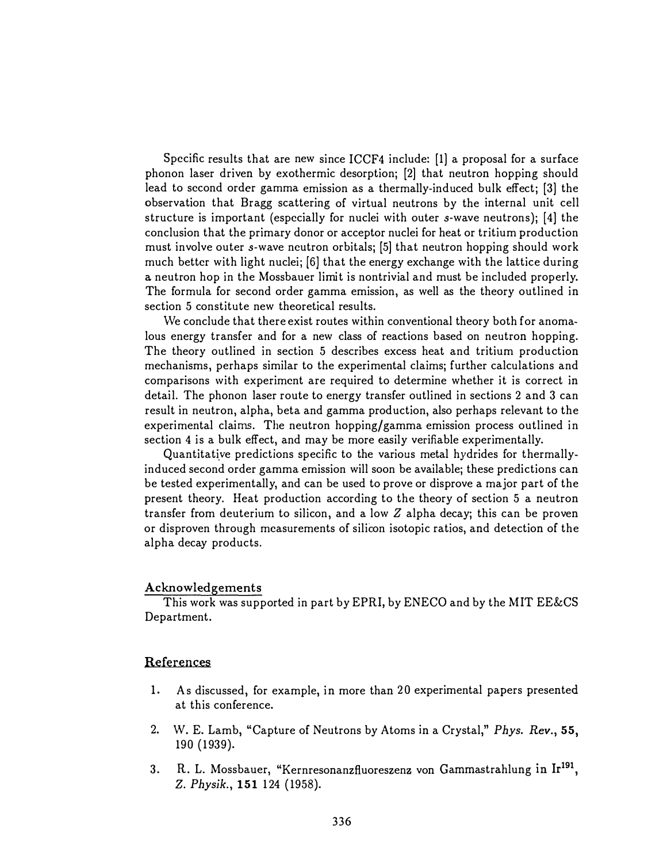Specific results that are new since ICCF4 include: [1] a proposal for a surface phonon laser driven by exothermic desorption; [2] that neutron hopping should lead to second order gamma emission as a thermally-induced bulk effect; [3] the observation that Bragg scattering of virtual neutrons by the internal unit cell structure is important (especially for nuclei with outer *s*-wave neutrons); [4] the conclusion that the primary donor or acceptor nuclei for heat or tritium production must involve outer  $s$ -wave neutron orbitals; [5] that neutron hopping should work much better with light nuclei; [6] that the energy exchange with the lattice during a neutron hop in the Mossbauer limit is nontrivial and must be included properly. The formula for second order gamma emission, as well as the theory outlined in section 5 constitute new theoretical results.

We conclude that there exist routes within conventional theory both for anomalous energy transfer and for a new class of reactions based on neutron hopping. The theory outlined in section 5 describes excess heat and tritium production mechanisms, perhaps similar to the experimental claims; further calculations and comparisons with experiment are required to determine whether it is correct in detail. The phonon laser route to energy transfer outlined in sections 2 and 3 can result in neutron, alpha, beta and gamma production, also perhaps relevant to the experimental claims. The neutron hopping/gamma emission process outlined in section 4 is a bulk effect, and may be more easily verifiable experimentally.

Quantitative predictions specific to the various metal hydrides for thermallyinduced second order gamma emission will soon be available; these predictions can be tested experimentally, and can be used to prove or disprove a major part of the present theory. Heat production according to the theory of section 5 a neutron transfer from deuterium to silicon, and a low  $Z$  alpha decay; this can be proven or disproven through measurements of silicon isotopic ratios, and detection of the alpha decay products.

### Acknowledgements

This work was supported in part by EPRI, by ENECO and by the MIT EE&CS Department.

### References

- 1. As discussed, for example, in more than 20 experimental papers presented at this conference.
- 2. W. E. Lamb, "Capture of Neutrons by Atoms in a Crystal," Phys. Rev., 55, 190 (1939).
- 3. R. L. Mossbauer, "Kernresonanzfluoreszenz von Gammastrahlung in Ir<sup>191</sup>, Z. Physik., 151 124 (1958).